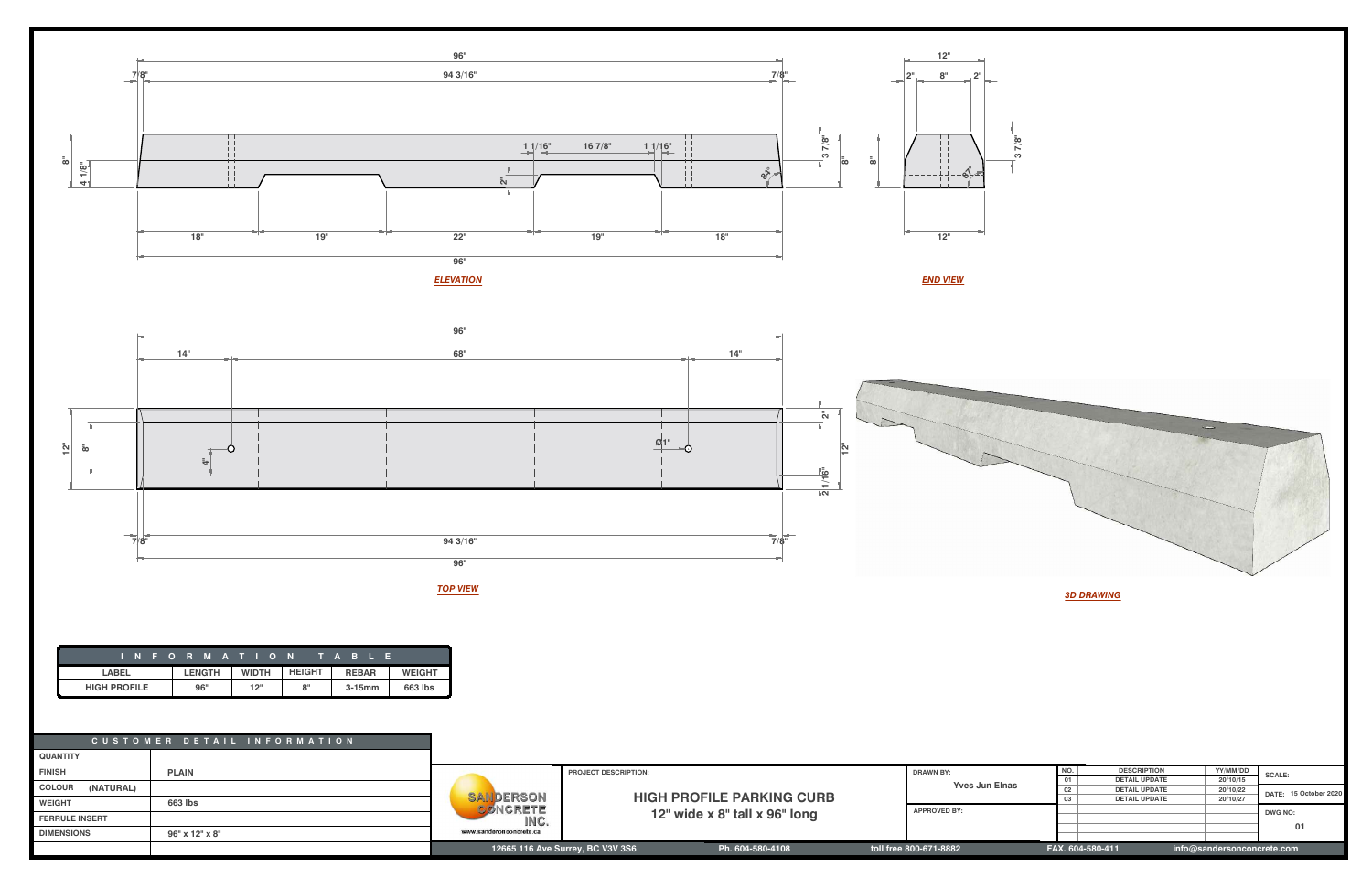

|                            | CUSTOMER DETAIL INFORMATION |                         |                                  |                       |                        |                      |                    |                            |       |
|----------------------------|-----------------------------|-------------------------|----------------------------------|-----------------------|------------------------|----------------------|--------------------|----------------------------|-------|
| <b>QUANTITY</b>            |                             |                         |                                  |                       |                        |                      |                    |                            |       |
| <b>FINISH</b>              | <b>PLAIN</b>                |                         | <b>PROJECT DESCRIPTION:</b>      |                       | <b>DRAWN BY:</b>       | NO.                  | <b>DESCRIPTION</b> | YY/MM/DD                   | SCALL |
|                            |                             |                         |                                  |                       | 01                     | <b>DETAIL UPDATE</b> | 20/10/15           |                            |       |
| <b>COLOUR</b><br>(NATURAL) |                             |                         |                                  | <b>Yves Jun Elnas</b> | 02                     | <b>DETAIL UPDATE</b> | 20/10/22           | DATE: 15 October 2020      |       |
| <b>WEIGHT</b>              | 663 lbs                     | SAILDERSON              | <b>HIGH PROFILE PARKING CURB</b> |                       |                        | <b>DETAIL UPDATE</b> | 20/10/27           |                            |       |
|                            |                             | CONCRETE                |                                  | <b>APPROVED BY:</b>   |                        |                      |                    | DWG NO:                    |       |
| <b>FERRULE INSERT</b>      |                             | INC.                    | 12" wide x 8" tall x 96" long    |                       |                        |                      |                    |                            |       |
| <b>DIMENSIONS</b>          |                             | www.sanderonconcrete.ca |                                  |                       |                        |                      |                    |                            | 01    |
|                            | 96" x 12" x 8"              |                         |                                  |                       |                        |                      |                    |                            |       |
|                            |                             |                         | 12665 116 Ave Surrey, BC V3V 3S6 | Ph. 604-580-4108      | toll free 800-671-8882 | FAX. 604-580-411     |                    | info@sandersonconcrete.com |       |

|                     | INFORMATION TABLE |              |               |              |               |
|---------------------|-------------------|--------------|---------------|--------------|---------------|
| <b>LABEL</b>        | <b>LENGTH</b>     | <b>WIDTH</b> | <b>HEIGHT</b> | <b>REBAR</b> | <b>WEIGHT</b> |
| <b>HIGH PROFILE</b> | 96"               | 12"          | 8"            | $3-15$ mm    | 663 lbs       |